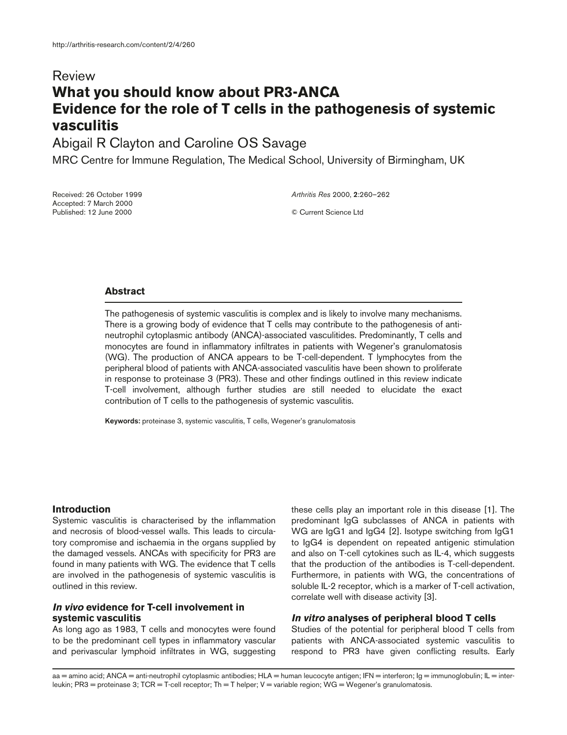# Review **What you should know about PR3-ANCA Evidence for the role of T cells in the pathogenesis of systemic vasculitis**

Abigail R Clayton and Caroline OS Savage

MRC Centre for Immune Regulation, The Medical School, University of Birmingham, UK

Received: 26 October 1999 Accepted: 7 March 2000 Published: 12 June 2000

*Arthritis Res* 2000, **2**:260–262

© Current Science Ltd

### **Abstract**

The pathogenesis of systemic vasculitis is complex and is likely to involve many mechanisms. There is a growing body of evidence that T cells may contribute to the pathogenesis of antineutrophil cytoplasmic antibody (ANCA)-associated vasculitides. Predominantly, T cells and monocytes are found in inflammatory infiltrates in patients with Wegener's granulomatosis (WG). The production of ANCA appears to be T-cell-dependent. T lymphocytes from the peripheral blood of patients with ANCA-associated vasculitis have been shown to proliferate in response to proteinase 3 (PR3). These and other findings outlined in this review indicate T-cell involvement, although further studies are still needed to elucidate the exact contribution of T cells to the pathogenesis of systemic vasculitis.

**Keywords:** proteinase 3, systemic vasculitis, T cells, Wegener's granulomatosis

### **Introduction**

Systemic vasculitis is characterised by the inflammation and necrosis of blood-vessel walls. This leads to circulatory compromise and ischaemia in the organs supplied by the damaged vessels. ANCAs with specificity for PR3 are found in many patients with WG. The evidence that T cells are involved in the pathogenesis of systemic vasculitis is outlined in this review.

## **In vivo evidence for T-cell involvement in systemic vasculitis**

As long ago as 1983, T cells and monocytes were found to be the predominant cell types in inflammatory vascular and perivascular lymphoid infiltrates in WG, suggesting these cells play an important role in this disease [1]. The predominant IgG subclasses of ANCA in patients with WG are IgG1 and IgG4 [2]. Isotype switching from IgG1 to IgG4 is dependent on repeated antigenic stimulation and also on T-cell cytokines such as IL-4, which suggests that the production of the antibodies is T-cell-dependent. Furthermore, in patients with WG, the concentrations of soluble IL-2 receptor, which is a marker of T-cell activation, correlate well with disease activity [3].

### **In vitro analyses of peripheral blood T cells**

Studies of the potential for peripheral blood T cells from patients with ANCA-associated systemic vasculitis to respond to PR3 have given conflicting results. Early

aa = amino acid; ANCA = anti-neutrophil cytoplasmic antibodies; HLA = human leucocyte antigen; IFN = interferon; Ig = immunoglobulin; IL = interleukin; PR3 = proteinase 3; TCR = T-cell receptor; Th = T helper; V = variable region; WG = Wegener's granulomatosis.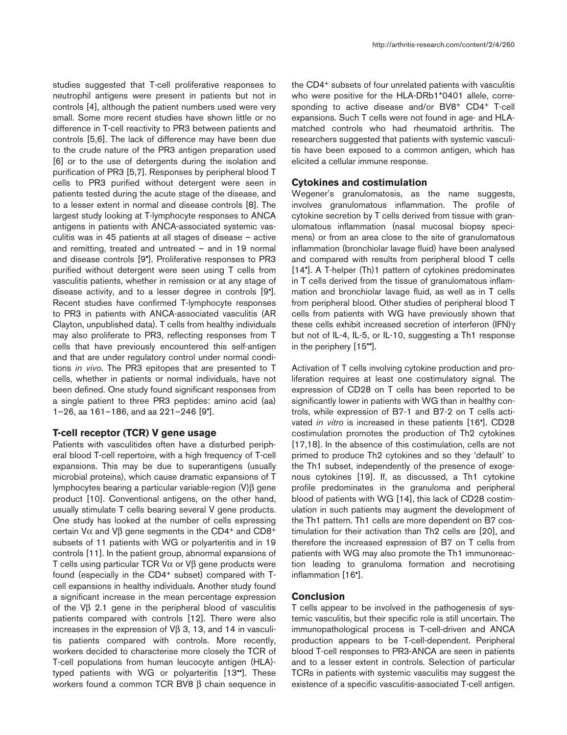studies suggested that T-cell proliferative responses to neutrophil antigens were present in patients but not in controls [4], although the patient numbers used were very small. Some more recent studies have shown little or no difference in T-cell reactivity to PR3 between patients and controls [5,6]. The lack of difference may have been due to the crude nature of the PR3 antigen preparation used [6] or to the use of detergents during the isolation and purification of PR3 [5,7]. Responses by peripheral blood T cells to PR3 purified without detergent were seen in patients tested during the acute stage of the disease, and to a lesser extent in normal and disease controls [8]. The largest study looking at T-lymphocyte responses to ANCA antigens in patients with ANCA-associated systemic vasculitis was in 45 patients at all stages of disease – active and remitting, treated and untreated – and in 19 normal and disease controls [9•]. Proliferative responses to PR3 purified without detergent were seen using T cells from vasculitis patients, whether in remission or at any stage of disease activity, and to a lesser degree in controls [9•]. Recent studies have confirmed T-lymphocyte responses to PR3 in patients with ANCA-associated vasculitis (AR Clayton, unpublished data). T cells from healthy individuals may also proliferate to PR3, reflecting responses from T cells that have previously encountered this self-antigen and that are under regulatory control under normal conditions *in vivo*. The PR3 epitopes that are presented to T cells, whether in patients or normal individuals, have not been defined. One study found significant responses from a single patient to three PR3 peptides: amino acid (aa) 1–26, aa 161–186, and aa 221–246 [9•].

### **T-cell receptor (TCR) V gene usage**

Patients with vasculitides often have a disturbed peripheral blood T-cell repertoire, with a high frequency of T-cell expansions. This may be due to superantigens (usually microbial proteins), which cause dramatic expansions of T lymphocytes bearing a particular variable-region (V)β gene product [10]. Conventional antigens, on the other hand, usually stimulate T cells bearing several V gene products. One study has looked at the number of cells expressing certain V $α$  and V $β$  gene segments in the CD4<sup>+</sup> and CD8<sup>+</sup> subsets of 11 patients with WG or polyarteritis and in 19 controls [11]. In the patient group, abnormal expansions of T cells using particular TCR Vα or Vβ gene products were found (especially in the CD4<sup>+</sup> subset) compared with Tcell expansions in healthy individuals. Another study found a significant increase in the mean percentage expression of the Vβ 2.1 gene in the peripheral blood of vasculitis patients compared with controls [12]. There were also increases in the expression of Vβ 3, 13, and 14 in vasculitis patients compared with controls. More recently, workers decided to characterise more closely the TCR of T-cell populations from human leucocyte antigen (HLA) typed patients with WG or polyarteritis [13••]. These workers found a common TCR BV8 β chain sequence in

the CD4+ subsets of four unrelated patients with vasculitis who were positive for the HLA-DRb1\*0401 allele, corresponding to active disease and/or BV8+ CD4+ T-cell expansions. Such T cells were not found in age- and HLAmatched controls who had rheumatoid arthritis. The researchers suggested that patients with systemic vasculitis have been exposed to a common antigen, which has elicited a cellular immune response.

#### **Cytokines and costimulation**

Wegener's granulomatosis, as the name suggests, involves granulomatous inflammation. The profile of cytokine secretion by T cells derived from tissue with granulomatous inflammation (nasal mucosal biopsy specimens) or from an area close to the site of granulomatous inflammation (bronchiolar lavage fluid) have been analysed and compared with results from peripheral blood T cells [14•]. A T-helper (Th)1 pattern of cytokines predominates in T cells derived from the tissue of granulomatous inflammation and bronchiolar lavage fluid, as well as in T cells from peripheral blood. Other studies of peripheral blood T cells from patients with WG have previously shown that these cells exhibit increased secretion of interferon (IFN)γ but not of IL-4, IL-5, or IL-10, suggesting a Th1 response in the periphery [15••].

Activation of T cells involving cytokine production and proliferation requires at least one costimulatory signal. The expression of CD28 on T cells has been reported to be significantly lower in patients with WG than in healthy controls, while expression of B7-1 and B7-2 on T cells activated *in vitro* is increased in these patients [16•]. CD28 costimulation promotes the production of Th2 cytokines [17,18]. In the absence of this costimulation, cells are not primed to produce Th2 cytokines and so they 'default' to the Th1 subset, independently of the presence of exogenous cytokines [19]. If, as discussed, a Th1 cytokine profile predominates in the granuloma and peripheral blood of patients with WG [14], this lack of CD28 costimulation in such patients may augment the development of the Th1 pattern. Th1 cells are more dependent on B7 costimulation for their activation than Th2 cells are [20], and therefore the increased expression of B7 on T cells from patients with WG may also promote the Th1 immunoreaction leading to granuloma formation and necrotising inflammation [16•].

#### **Conclusion**

T cells appear to be involved in the pathogenesis of systemic vasculitis, but their specific role is still uncertain. The immunopathological process is T-cell-driven and ANCA production appears to be T-cell-dependent. Peripheral blood T-cell responses to PR3-ANCA are seen in patients and to a lesser extent in controls. Selection of particular TCRs in patients with systemic vasculitis may suggest the existence of a specific vasculitis-associated T-cell antigen.